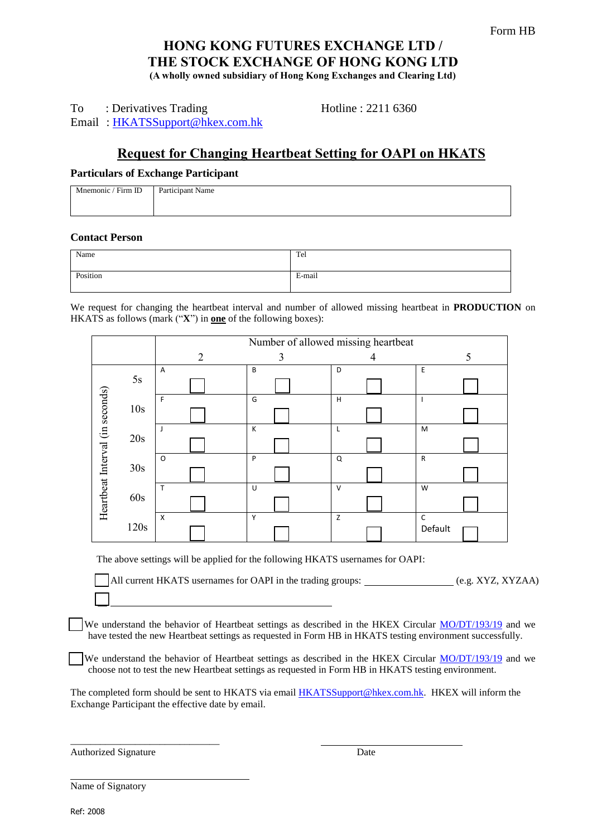# **HONG KONG FUTURES EXCHANGE LTD / THE STOCK EXCHANGE OF HONG KONG LTD (A wholly owned subsidiary of Hong Kong Exchanges and Clearing Ltd)**

To : Derivatives Trading Hotline : 2211 6360 Email : [HKATSSupport@hkex.com.hk](mailto:HKATSSupport@hkex.com.hk)

# **Request for Changing Heartbeat Setting for OAPI on HKATS**

# **Particulars of Exchange Participant**

| Firm ID<br>Mnemonic / | Participant Name |
|-----------------------|------------------|
|                       |                  |

# **Contact Person**

| Name     | Tel    |
|----------|--------|
| Position | E-mail |

We request for changing the heartbeat interval and number of allowed missing heartbeat in **PRODUCTION** on HKATS as follows (mark ("**X**") in **one** of the following boxes):

|                                 |      | Number of allowed missing heartbeat |   |        |              |  |  |
|---------------------------------|------|-------------------------------------|---|--------|--------------|--|--|
|                                 |      | $\overline{2}$                      | 3 | 4      | 5            |  |  |
| Heartbeat Interval (in seconds) | 5s   | $\overline{A}$                      | B | D      | E            |  |  |
|                                 |      |                                     |   |        |              |  |  |
|                                 | 10s  | F                                   | G | н      |              |  |  |
|                                 |      |                                     |   |        |              |  |  |
|                                 | 20s  | J                                   | К | L      | M            |  |  |
|                                 |      |                                     |   |        |              |  |  |
|                                 | 30s  | $\circ$                             | P | Q      | $\mathsf{R}$ |  |  |
|                                 |      |                                     |   |        |              |  |  |
|                                 |      | T                                   | U | $\vee$ | W            |  |  |
|                                 | 60s  |                                     |   |        |              |  |  |
|                                 |      | $\boldsymbol{\mathsf{X}}$           | Y | Z      | $\mathsf{C}$ |  |  |
|                                 | 120s |                                     |   |        | Default      |  |  |

The above settings will be applied for the following HKATS usernames for OAPI:

All current HKATS usernames for OAPI in the trading groups: \_\_\_\_\_\_\_\_\_\_\_\_\_\_\_\_\_\_\_(e.g. XYZ, XYZAA)

We understand the behavior of Heartbeat settings as described in the HKEX Circular [MO/DT/193/19](https://www.hkex.com.hk/-/media/HKEX-Market/Services/Circulars-and-Notices/Participant-and-Members-Circulars/HKFE/2019/MO_DT_193_19_e.pdf) and we have tested the new Heartbeat settings as requested in Form HB in HKATS testing environment successfully.

We understand the behavior of Heartbeat settings as described in the HKEX Circular [MO/DT/193/19](https://www.hkex.com.hk/-/media/HKEX-Market/Services/Circulars-and-Notices/Participant-and-Members-Circulars/HKFE/2019/MO_DT_193_19_e.pdf) and we choose not to test the new Heartbeat settings as requested in Form HB in HKATS testing environment.

The completed form should be sent to HKATS via email [HKATSSupport@hkex.com.hk.](mailto:HKATSSUPPORT@hkex.com.hk) HKEX will inform the Exchange Participant the effective date by email.

Authorized Signature Date

\_\_\_\_\_\_\_\_\_\_\_\_\_\_\_\_\_\_\_\_\_\_\_\_\_\_\_\_\_\_